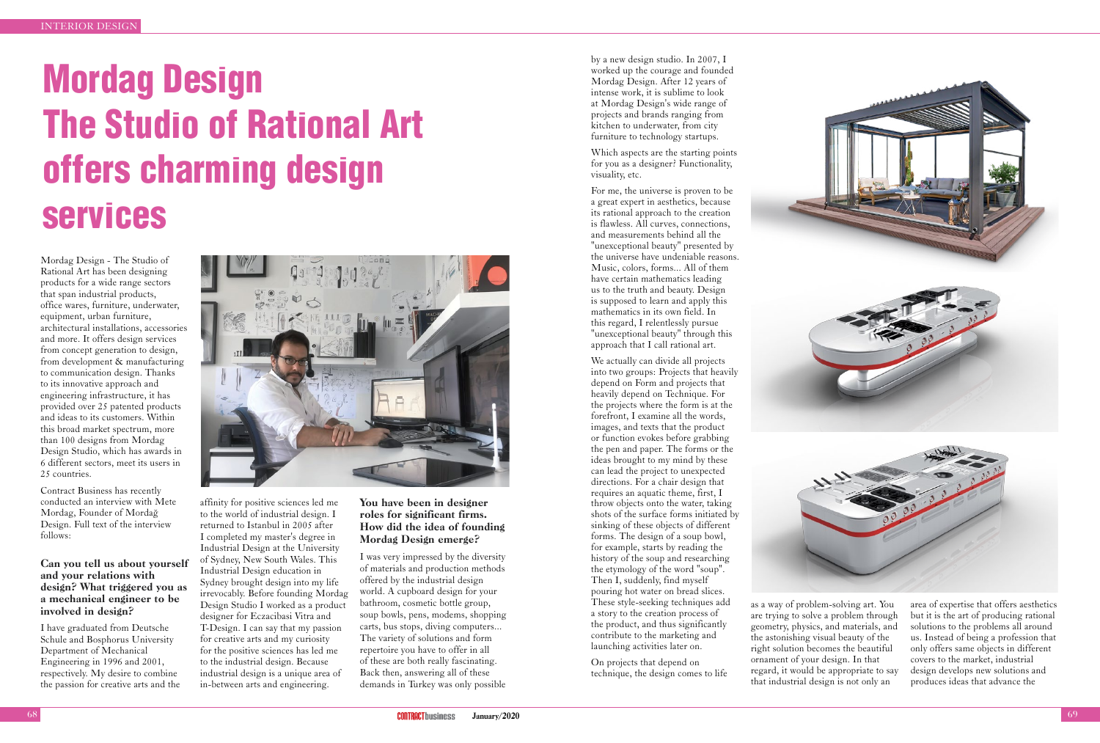by a new design studio. In 2007, I worked up the courage and founded Mordag Design. After 12 years of intense work, it is sublime to look at Mordag Design's wide range of projects and brands ranging from kitchen to underwater, from city furniture to technology startups.

Which aspects are the starting points for you as a designer? Functionality, visuality, etc.

For me, the universe is proven to be a great expert in aesthetics, because its rational approach to the creation is flawless. All curves, connections, and measurements behind all the "unexceptional beauty" presented by the universe have undeniable reasons. Music, colors, forms... All of them have certain mathematics leading us to the truth and beauty. Design is supposed to learn and apply this mathematics in its own field. In this regard, I relentlessly pursue "unexceptional beauty" through this approach that I call rational art.

We actually can divide all projects into two groups: Projects that heavily depend on Form and projects that heavily depend on Technique. For the projects where the form is at the forefront, I examine all the words, images, and texts that the product or function evokes before grabbing the pen and paper. The forms or the ideas brought to my mind by these can lead the project to unexpected directions. For a chair design that requires an aquatic theme, first, I throw objects onto the water, taking shots of the surface forms initiated by sinking of these objects of different forms. The design of a soup bowl, for example, starts by reading the history of the soup and researching the etymology of the word "soup". Then I, suddenly, find myself pouring hot water on bread slices. These style-seeking techniques add a story to the creation process of the product, and thus significantly contribute to the marketing and launching activities later on.

On projects that depend on technique, the design comes to life





as a way of problem-solving art. You are trying to solve a problem through geometry, physics, and materials, and the astonishing visual beauty of the right solution becomes the beautiful ornament of your design. In that regard, it would be appropriate to say that industrial design is not only an



area of expertise that offers aesthetics but it is the art of producing rational solutions to the problems all around us. Instead of being a profession that only offers same objects in different covers to the market, industrial design develops new solutions and produces ideas that advance the

# Mordag Design The Studio of Rational Art offers charming design services

Mordag Design - The Studio of Rational Art has been designing products for a wide range sectors that span industrial products, office wares, furniture, underwater, equipment, urban furniture, architectural installations, accessories and more. It offers design services from concept generation to design, from development & manufacturing to communication design. Thanks to its innovative approach and engineering infrastructure, it has provided over 25 patented products and ideas to its customers. Within this broad market spectrum, more than 100 designs from Mordag Design Studio, which has awards in 6 different sectors, meet its users in 25 countries.

Contract Business has recently conducted an interview with Mete Mordag, Founder of Mordağ Design. Full text of the interview follows:

## Can you tell us about yourself and your relations with design? What triggered you as a mechanical engineer to be involved in design?

I have graduated from Deutsche Schule and Bosphorus University Department of Mechanical Engineering in 1996 and 2001, respectively. My desire to combine the passion for creative arts and the



affinity for positive sciences led me to the world of industrial design. I returned to Istanbul in 2005 after I completed my master's degree in Industrial Design at the University of Sydney, New South Wales. This Industrial Design education in Sydney brought design into my life irrevocably. Before founding Mordag Design Studio I worked as a product designer for Eczacibasi Vitra and T-Design. I can say that my passion for creative arts and my curiosity for the positive sciences has led me to the industrial design. Because industrial design is a unique area of in-between arts and engineering.

## You have been in designer roles for significant firms. How did the idea of founding Mordag Design emerge?

I was very impressed by the diversity of materials and production methods offered by the industrial design world. A cupboard design for your bathroom, cosmetic bottle group, soup bowls, pens, modems, shopping carts, bus stops, diving computers... The variety of solutions and form repertoire you have to offer in all of these are both really fascinating. Back then, answering all of these demands in Turkey was only possible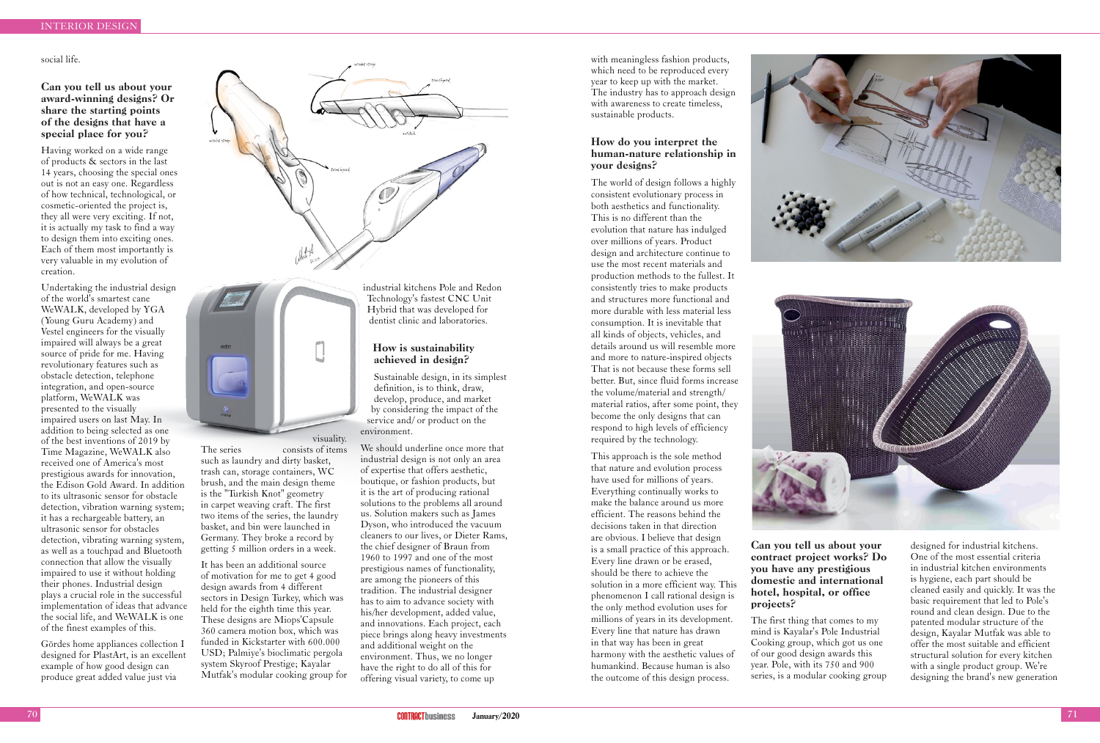#### social life.

### Can you tell us about your award-winning designs? Or share the starting points of the designs that have a special place for you?

Having worked on a wide range of products & sectors in the last 14 years, choosing the special ones out is not an easy one. Regardless of how technical, technological, or cosmetic-oriented the project is, they all were very exciting. If not, it is actually my task to find a way to design them into exciting ones. Each of them most importantly is very valuable in my evolution of creation.

Undertaking the industrial design of the world's smartest cane WeWALK, developed by YGA (Young Guru Academy) and Vestel engineers for the visually impaired will always be a great source of pride for me. Having revolutionary features such as obstacle detection, telephone integration, and open-source platform, WeWALK was presented to the visually impaired users on last May. In addition to being selected as one of the best inventions of 2019 by Time Magazine, WeWALK also received one of America's most prestigious awards for innovation, the Edison Gold Award. In addition to its ultrasonic sensor for obstacle detection, vibration warning system; it has a rechargeable battery, an ultrasonic sensor for obstacles detection, vibrating warning system, as well as a touchpad and Bluetooth connection that allow the visually impaired to use it without holding their phones. Industrial design plays a crucial role in the successful implementation of ideas that advance the social life, and WeWALK is one of the finest examples of this.

The series consists of items such as laundry and dirty basket, trash can, storage containers, WC brush, and the main design theme is the "Turkish Knot" geometry in carpet weaving craft. The first two items of the series, the laundry basket, and bin were launched in Germany. They broke a record by getting 5 million orders in a week. It has been an additional source of motivation for me to get 4 good design awards from 4 different sectors in Design Turkey, which was held for the eighth time this year. These designs are Miops'Capsule 360 camera motion box, which was funded in Kickstarter with 600.000 USD; Palmiye's bioclimatic pergola system Skyroof Prestige; Kayalar Mutfak's modular cooking group for

Gördes home appliances collection I designed for PlastArt, is an excellent example of how good design can produce great added value just via



visuality.

industrial kitchens Pole and Redon Technology's fastest CNC Unit Hybrid that was developed for dentist clinic and laboratories.

#### How is sustainability achieved in design?

Sustainable design, in its simplest definition, is to think, draw, develop, produce, and market by considering the impact of the service and/ or product on the environment.

We should underline once more that industrial design is not only an area of expertise that offers aesthetic, boutique, or fashion products, but it is the art of producing rational solutions to the problems all around us. Solution makers such as James Dyson, who introduced the vacuum cleaners to our lives, or Dieter Rams, the chief designer of Braun from 1960 to 1997 and one of the most prestigious names of functionality, are among the pioneers of this tradition. The industrial designer has to aim to advance society with his/her development, added value, and innovations. Each project, each piece brings along heavy investments and additional weight on the environment. Thus, we no longer have the right to do all of this for offering visual variety, to come up

with meaningless fashion products, which need to be reproduced every year to keep up with the market. The industry has to approach design with awareness to create timeless, sustainable products.

### How do you interpret the human-nature relationship in your designs?

The world of design follows a highly consistent evolutionary process in both aesthetics and functionality. This is no different than the evolution that nature has indulged over millions of years. Product design and architecture continue to use the most recent materials and production methods to the fullest. It consistently tries to make products and structures more functional and more durable with less material less consumption. It is inevitable that all kinds of objects, vehicles, and details around us will resemble more and more to nature-inspired objects That is not because these forms sell better. But, since fluid forms increase the volume/material and strength/ material ratios, after some point, they become the only designs that can respond to high levels of efficiency required by the technology.

This approach is the sole method that nature and evolution process have used for millions of years. Everything continually works to make the balance around us more efficient. The reasons behind the decisions taken in that direction are obvious. I believe that design is a small practice of this approach. Every line drawn or be erased, should be there to achieve the solution in a more efficient way. This phenomenon I call rational design is the only method evolution uses for millions of years in its development. Every line that nature has drawn in that way has been in great harmony with the aesthetic values of humankind. Because human is also the outcome of this design process.





Can you tell us about your contract project works? Do you have any prestigious domestic and international hotel, hospital, or office projects?

The first thing that comes to my mind is Kayalar's Pole Industrial Cooking group, which got us one of our good design awards this year. Pole, with its 750 and 900 series, is a modular cooking group

designed for industrial kitchens. One of the most essential criteria in industrial kitchen environments is hygiene, each part should be cleaned easily and quickly. It was the basic requirement that led to Pole's round and clean design. Due to the patented modular structure of the design, Kayalar Mutfak was able to offer the most suitable and efficient structural solution for every kitchen with a single product group. We're designing the brand's new generation